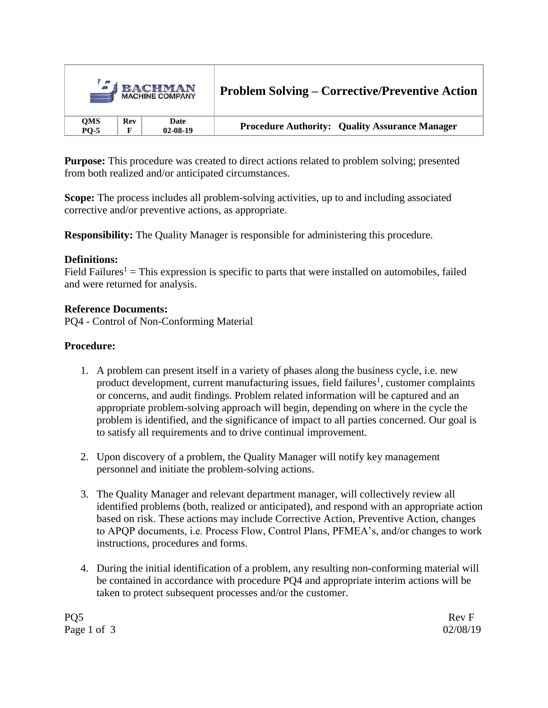|             |            | <b>SI BACHMAN</b><br><b>MACHINE COMPANY</b> | <b>Problem Solving – Corrective/Preventive Action</b> |  |
|-------------|------------|---------------------------------------------|-------------------------------------------------------|--|
| QMS         | <b>Rev</b> | Date                                        | <b>Procedure Authority: Quality Assurance Manager</b> |  |
| <b>PO-5</b> | F          | $02 - 08 - 19$                              |                                                       |  |

**Purpose:** This procedure was created to direct actions related to problem solving; presented from both realized and/or anticipated circumstances.

**Scope:** The process includes all problem-solving activities, up to and including associated corrective and/or preventive actions, as appropriate.

**Responsibility:** The Quality Manager is responsible for administering this procedure.

# **Definitions:**

Field Failures<sup>1</sup> = This expression is specific to parts that were installed on automobiles, failed and were returned for analysis.

### **Reference Documents:**

PQ4 - Control of Non-Conforming Material

# **Procedure:**

- 1. A problem can present itself in a variety of phases along the business cycle, i.e. new product development, current manufacturing issues, field failures<sup>1</sup>, customer complaints or concerns, and audit findings. Problem related information will be captured and an appropriate problem-solving approach will begin, depending on where in the cycle the problem is identified, and the significance of impact to all parties concerned. Our goal is to satisfy all requirements and to drive continual improvement.
- 2. Upon discovery of a problem, the Quality Manager will notify key management personnel and initiate the problem-solving actions.
- 3. The Quality Manager and relevant department manager, will collectively review all identified problems (both, realized or anticipated), and respond with an appropriate action based on risk. These actions may include Corrective Action, Preventive Action, changes to APQP documents, i.e. Process Flow, Control Plans, PFMEA's, and/or changes to work instructions, procedures and forms.
- 4. During the initial identification of a problem, any resulting non-conforming material will be contained in accordance with procedure PQ4 and appropriate interim actions will be taken to protect subsequent processes and/or the customer.

PQ5 Rev F Page 1 of 3 02/08/19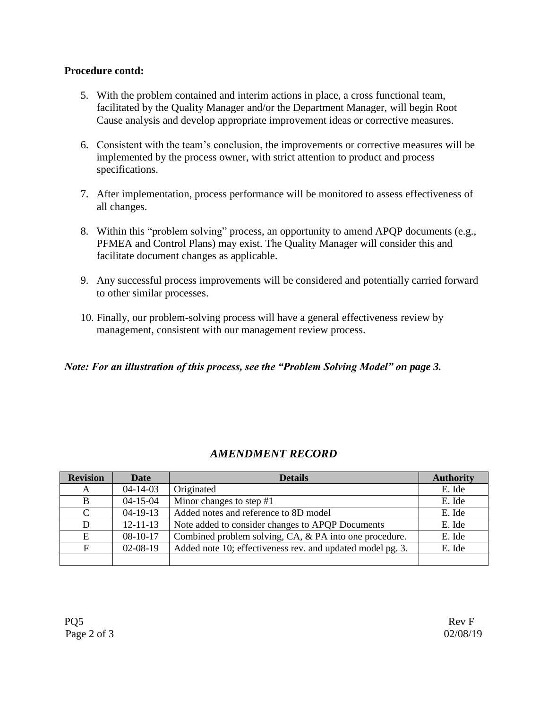### **Procedure contd:**

- 5. With the problem contained and interim actions in place, a cross functional team, facilitated by the Quality Manager and/or the Department Manager, will begin Root Cause analysis and develop appropriate improvement ideas or corrective measures.
- 6. Consistent with the team's conclusion, the improvements or corrective measures will be implemented by the process owner, with strict attention to product and process specifications.
- 7. After implementation, process performance will be monitored to assess effectiveness of all changes.
- 8. Within this "problem solving" process, an opportunity to amend APQP documents (e.g., PFMEA and Control Plans) may exist. The Quality Manager will consider this and facilitate document changes as applicable.
- 9. Any successful process improvements will be considered and potentially carried forward to other similar processes.
- 10. Finally, our problem-solving process will have a general effectiveness review by management, consistent with our management review process.

# *Note: For an illustration of this process, see the "Problem Solving Model" on page 3.*

# *AMENDMENT RECORD*

| <b>Revision</b> | <b>Date</b>    | <b>Details</b>                                             | <b>Authority</b> |
|-----------------|----------------|------------------------------------------------------------|------------------|
| A               | $04 - 14 - 03$ | Originated                                                 | E. Ide           |
| B               | $04 - 15 - 04$ | Minor changes to step $#1$                                 | E. Ide           |
| $\mathcal{C}$   | $04-19-13$     | Added notes and reference to 8D model                      | E. Ide           |
| D               | $12 - 11 - 13$ | Note added to consider changes to APQP Documents           | E. Ide           |
| E               | $08-10-17$     | Combined problem solving, CA, & PA into one procedure.     | E. Ide           |
| F               | $02-08-19$     | Added note 10; effectiveness rev. and updated model pg. 3. | E. Ide           |
|                 |                |                                                            |                  |